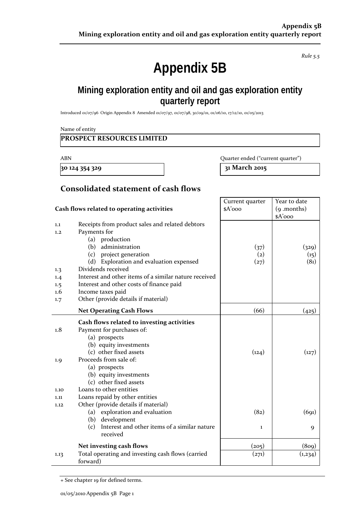*Rule 5.5*

# **Appendix 5B**

# **Mining exploration entity and oil and gas exploration entity quarterly report**

Introduced 01/07/96 Origin Appendix 8 Amended 01/07/97, 01/07/98, 30/09/01, 01/06/10, 17/12/10, 01/05/2013

Name of entity

#### **PROSPECT RESOURCES LIMITED**

**30 124 354 329 31 March 2015**

ABN Quarter ended ("current quarter")

### **Consolidated statement of cash flows**

|                                               |                                                                                                                                                                                                                                                                                                                                                                        | Current quarter                   | Year to date                                  |
|-----------------------------------------------|------------------------------------------------------------------------------------------------------------------------------------------------------------------------------------------------------------------------------------------------------------------------------------------------------------------------------------------------------------------------|-----------------------------------|-----------------------------------------------|
| Cash flows related to operating activities    |                                                                                                                                                                                                                                                                                                                                                                        | $A'$ ooo                          | $(q \cdot \text{months})$                     |
| 1.1<br>1.2<br>1.3<br>1.4<br>1.5<br>1.6<br>1.7 | Receipts from product sales and related debtors<br>Payments for<br>(a) production<br>administration<br>(b)<br>(c) project generation<br>(d) Exploration and evaluation expensed<br>Dividends received<br>Interest and other items of a similar nature received<br>Interest and other costs of finance paid<br>Income taxes paid<br>Other (provide details if material) | (37)<br>$\left( 2\right)$<br>(27) | \$A'ooo<br>(329)<br>(15)<br>(8 <sub>1</sub> ) |
|                                               | <b>Net Operating Cash Flows</b>                                                                                                                                                                                                                                                                                                                                        | (66)                              | (425)                                         |
| 1.8<br>1.9<br>1.10<br>1.11                    | Cash flows related to investing activities<br>Payment for purchases of:<br>(a) prospects<br>(b) equity investments<br>(c) other fixed assets<br>Proceeds from sale of:<br>(a) prospects<br>(b) equity investments<br>(c) other fixed assets<br>Loans to other entities<br>Loans repaid by other entities                                                               | (124)                             | (127)                                         |
| 1.12                                          | Other (provide details if material)<br>(a) exploration and evaluation<br>(b) development<br>Interest and other items of a similar nature<br>(c)                                                                                                                                                                                                                        | (8 <sub>2</sub> )<br>1            | (691)<br>9                                    |
|                                               | received                                                                                                                                                                                                                                                                                                                                                               |                                   |                                               |
|                                               | Net investing cash flows                                                                                                                                                                                                                                                                                                                                               | (205)                             | (8 <sub>09</sub> )                            |
| 1.13                                          | Total operating and investing cash flows (carried<br>forward)                                                                                                                                                                                                                                                                                                          | (271)                             | (1,234)                                       |

+ See chapter 19 for defined terms.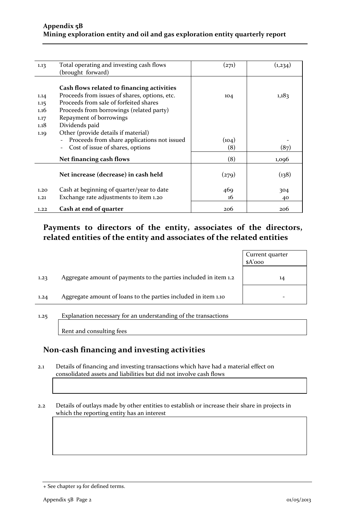| 1.13 | Total operating and investing cash flows                     | (271) | (1,234) |
|------|--------------------------------------------------------------|-------|---------|
|      | (brought forward)                                            |       |         |
|      |                                                              |       |         |
|      | Cash flows related to financing activities                   |       |         |
| 1.14 | Proceeds from issues of shares, options, etc.                | 104   | 1,183   |
| 1.15 | Proceeds from sale of forfeited shares                       |       |         |
| 1.16 | Proceeds from borrowings (related party)                     |       |         |
| 1.17 | Repayment of borrowings                                      |       |         |
| 1.18 | Dividends paid                                               |       |         |
| 1.19 | Other (provide details if material)                          |       |         |
|      | Proceeds from share applications not issued                  | (104) |         |
|      | Cost of issue of shares, options<br>$\overline{\phantom{a}}$ | (8)   | (87)    |
|      | Net financing cash flows                                     | (8)   | 1,096   |
|      |                                                              |       |         |
|      | Net increase (decrease) in cash held                         | (279) | (138)   |
|      |                                                              |       |         |
| 1.20 | Cash at beginning of quarter/year to date                    | 469   | 304     |
| 1.21 | Exchange rate adjustments to item 1.20                       | 16    | 40      |
| 1.22 | Cash at end of quarter                                       | 206   | 206     |

### **Payments to directors of the entity, associates of the directors, related entities of the entity and associates of the related entities**

|      |                                                                  | Current quarter<br>$A'$ ooo |
|------|------------------------------------------------------------------|-----------------------------|
| 1.23 | Aggregate amount of payments to the parties included in item 1.2 | 14                          |
| 1.24 | Aggregate amount of loans to the parties included in item 1.10   | -                           |

1.25 Explanation necessary for an understanding of the transactions

Rent and consulting fees

#### **Non‐cash financing and investing activities**

2.1 Details of financing and investing transactions which have had a material effect on consolidated assets and liabilities but did not involve cash flows

2.2 Details of outlays made by other entities to establish or increase their share in projects in which the reporting entity has an interest

<sup>+</sup> See chapter 19 for defined terms.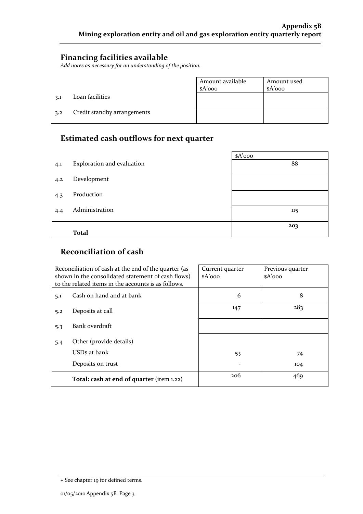#### **Financing facilities available**

*Add notes as necessary for an understanding of the position.*

|     |                             | Amount available<br>$A'$ 000 | Amount used<br>$A'$ 000 |
|-----|-----------------------------|------------------------------|-------------------------|
| 3.1 | Loan facilities             |                              |                         |
| 3.2 | Credit standby arrangements |                              |                         |

## **Estimated cash outflows for next quarter**

|     |                            | $A'$ 000 |
|-----|----------------------------|----------|
| 4.1 | Exploration and evaluation | 88       |
| 4.2 | Development                |          |
| 4.3 | Production                 |          |
| 4.4 | Administration             | 115      |
|     | <b>Total</b>               | 203      |
|     |                            |          |

### **Reconciliation of cash**

|     | Reconciliation of cash at the end of the quarter (as<br>shown in the consolidated statement of cash flows)<br>to the related items in the accounts is as follows. | Current quarter<br>$A'$ 000 | Previous quarter<br>$A'$ 000 |
|-----|-------------------------------------------------------------------------------------------------------------------------------------------------------------------|-----------------------------|------------------------------|
| 5.1 | Cash on hand and at bank                                                                                                                                          | 6                           | 8                            |
| 5.2 | Deposits at call                                                                                                                                                  | 147                         | 283                          |
| 5.3 | Bank overdraft                                                                                                                                                    |                             |                              |
| 5.4 | Other (provide details)                                                                                                                                           |                             |                              |
|     | USDs at bank                                                                                                                                                      | 53                          | 74                           |
|     | Deposits on trust                                                                                                                                                 |                             | 104                          |
|     | Total: cash at end of quarter (item 1.22)                                                                                                                         | 206                         | 469                          |

<sup>+</sup> See chapter 19 for defined terms.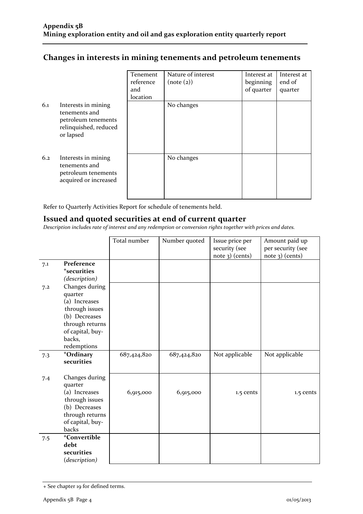### **Changes in interests in mining tenements and petroleum tenements**

|     |                                                                                                   | Tenement<br>reference<br>and<br>location | Nature of interest<br>(note (2)) | Interest at<br>beginning<br>of quarter | Interest at<br>end of<br>quarter |
|-----|---------------------------------------------------------------------------------------------------|------------------------------------------|----------------------------------|----------------------------------------|----------------------------------|
| 6.1 | Interests in mining<br>tenements and<br>petroleum tenements<br>relinquished, reduced<br>or lapsed |                                          | No changes                       |                                        |                                  |
| 6.2 | Interests in mining<br>tenements and<br>petroleum tenements<br>acquired or increased              |                                          | No changes                       |                                        |                                  |

Refer to Quarterly Activities Report for schedule of tenements held.

#### **Issued and quoted securities at end of current quarter**

*Description includes rate of interest and any redemption or conversion rights together with prices and dates.*

|     |                                                                                                                                               | Total number | Number quoted | Issue price per<br>security (see<br>note 3) (cents) | Amount paid up<br>per security (see<br>$note$ 3) (cents) |
|-----|-----------------------------------------------------------------------------------------------------------------------------------------------|--------------|---------------|-----------------------------------------------------|----------------------------------------------------------|
| 7.1 | Preference<br><sup>+</sup> securities<br>(description)                                                                                        |              |               |                                                     |                                                          |
| 7.2 | Changes during<br>quarter<br>(a) Increases<br>through issues<br>(b) Decreases<br>through returns<br>of capital, buy-<br>backs,<br>redemptions |              |               |                                                     |                                                          |
| 7.3 | +Ordinary<br>securities                                                                                                                       | 687,424,820  | 687,424,820   | Not applicable                                      | Not applicable                                           |
| 7.4 | Changes during<br>quarter<br>(a) Increases<br>through issues<br>(b) Decreases<br>through returns<br>of capital, buy-<br>backs                 | 6,915,000    | 6,915,000     | 1.5 cents                                           | 1.5 cents                                                |
| 7.5 | <sup>+</sup> Convertible<br>debt<br>securities<br>(description)                                                                               |              |               |                                                     |                                                          |

<sup>+</sup> See chapter 19 for defined terms.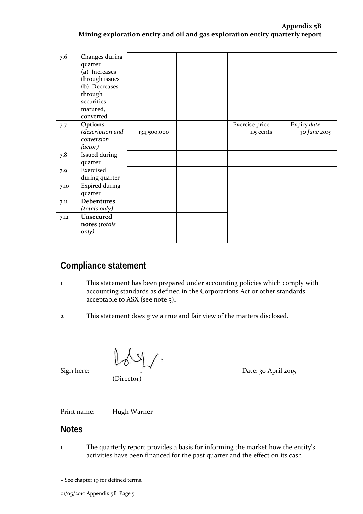#### **Appendix 5B Mining exploration entity and oil and gas exploration entity quarterly report**

| 7.6  | Changes during<br>quarter<br>(a) Increases<br>through issues<br>(b) Decreases<br>through<br>securities<br>matured,<br>converted |             |                |              |
|------|---------------------------------------------------------------------------------------------------------------------------------|-------------|----------------|--------------|
| 7.7  | Options                                                                                                                         |             | Exercise price | Expiry date  |
|      | (description and                                                                                                                | 134,500,000 | 1.5 cents      | 30 June 2015 |
|      | conversion                                                                                                                      |             |                |              |
|      | factor)                                                                                                                         |             |                |              |
|      | Issued during                                                                                                                   |             |                |              |
| 7.8  |                                                                                                                                 |             |                |              |
|      | quarter                                                                                                                         |             |                |              |
| 7.9  | Exercised                                                                                                                       |             |                |              |
|      | during quarter                                                                                                                  |             |                |              |
| 7.10 | <b>Expired during</b>                                                                                                           |             |                |              |
|      | quarter                                                                                                                         |             |                |              |
| 7.11 | <b>Debentures</b>                                                                                                               |             |                |              |
|      | (totals only)                                                                                                                   |             |                |              |
| 7.12 | Unsecured                                                                                                                       |             |                |              |
|      | notes (totals                                                                                                                   |             |                |              |
|      | only)                                                                                                                           |             |                |              |
|      |                                                                                                                                 |             |                |              |

# **Compliance statement**

- 1 This statement has been prepared under accounting policies which comply with accounting standards as defined in the Corporations Act or other standards acceptable to ASX (see note 5).
- 2 This statement does give a true and fair view of the matters disclosed.

(Director)

Sign here: Sign here: Sign here: Sign here: Sign here: Sign here: Sign here: Sign here: Sign here: Sign here: Sign here: Sign here: Sign here: Sign here: Sign here: Sign here: Sign here: Sign here: Sign here: Sign here: Si

Print name: Hugh Warner

#### **Notes**

1 The quarterly report provides a basis for informing the market how the entity's activities have been financed for the past quarter and the effect on its cash

<sup>+</sup> See chapter 19 for defined terms.